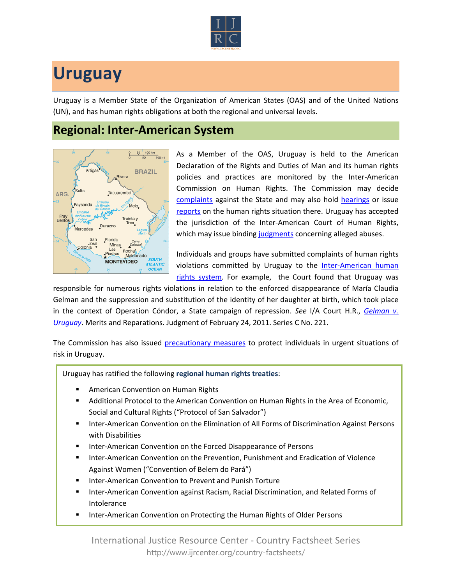

## **Uruguay**

Uruguay is a Member State of the Organization of American States (OAS) and of the United Nations (UN), and has human rights obligations at both the regional and universal levels.

## **Regional: Inter-American System**



As a Member of the OAS, Uruguay is held to the American Declaration of the Rights and Duties of Man and its human rights policies and practices are monitored by the Inter-American Commission on Human Rights. The Commission may decide [complaints](http://www.oas.org/en/iachr/decisions/merits.asp) against the State and may also hold [hearings](http://www.oas.org/es/cidh/audiencias/advanced.aspx?lang=en) or issue [reports](http://www.oas.org/en/iachr/reports/country.asp) on the human rights situation there. Uruguay has accepted the jurisdiction of the Inter-American Court of Human Rights, which may issue binding [judgments](http://www.corteidh.or.cr/cf/Jurisprudencia2/busqueda_casos_contenciosos.cfm?lang=en) concerning alleged abuses.

Individuals and groups have submitted complaints of human rights violations committed by Uruguay to the Inter-American human [rights system](http://www.ijrcenter.org/regional/inter-american-system/). For example, the Court found that Uruguay was

responsible for numerous rights violations in relation to the enforced disappearance of María Claudia Gelman and the suppression and substitution of the identity of her daughter at birth, which took place in the context of Operation Cóndor, a State campaign of repression. *See* I/A Court H.R., *[Gelman v.](http://www.corteidh.or.cr/docs/casos/articulos/seriec_221_ing.doc)  [Uruguay](http://www.corteidh.or.cr/docs/casos/articulos/seriec_221_ing.doc)*. Merits and Reparations. Judgment of February 24, 2011. Series C No. 221.

The Commission has also issued [precautionary measures](http://www.oas.org/en/iachr/decisions/precautionary.asp) to protect individuals in urgent situations of risk in Uruguay.

Uruguay has ratified the following **regional human rights treaties**:

- American Convention on Human Rights
- Additional Protocol to the American Convention on Human Rights in the Area of Economic, Social and Cultural Rights ("Protocol of San Salvador")
- Inter-American Convention on the Elimination of All Forms of Discrimination Against Persons with Disabilities
- Inter-American Convention on the Forced Disappearance of Persons
- Inter-American Convention on the Prevention, Punishment and Eradication of Violence Against Women ("Convention of Belem do Pará")
- Inter-American Convention to Prevent and Punish Torture
- Inter-American Convention against Racism, Racial Discrimination, and Related Forms of Intolerance
- **Inter-American Convention on Protecting the Human Rights of Older Persons**